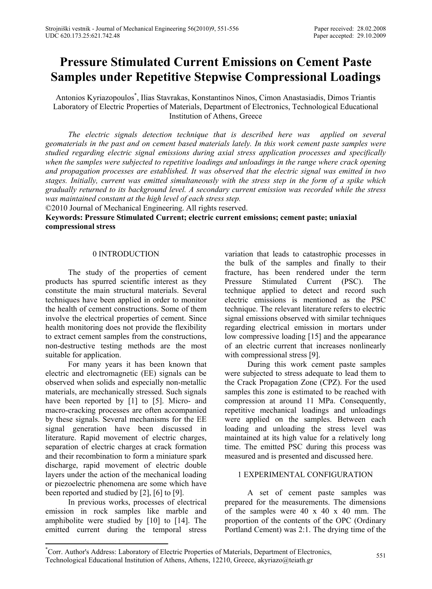# **Pressure Stimulated Current Emissions on Cement Paste Samples under Repetitive Stepwise Compressional Loadings**

Antonios Kyriazopoulos\* , Ilias Stavrakas, Konstantinos Ninos, Cimon Anastasiadis, Dimos Triantis Laboratory of Electric Properties of Materials, Department of Electronics, Technological Educational Institution of Athens, Greece

The electric signals detection technique that is described here was applied on several *geomaterials in the past and on cement based materials lately. In this work cement paste samples were studied regarding electric signal emissions during axial stress application processes and specifically when the samples were subjected to repetitive loadings and unloadings in the range where crack opening and propagation processes are established. It was observed that the electric signal was emitted in two stages. Initially, current was emitted simultaneously with the stress step in the form of a spike which gradually returned to its background level. A secondary current emission was recorded while the stress was maintained constant at the high level of each stress step.* 

©2010 Journal of Mechanical Engineering. All rights reserved.

**Keywords: Pressure Stimulated Current; electric current emissions; cement paste; uniaxial compressional stress** 

### 0 INTRODUCTION

The study of the properties of cement products has spurred scientific interest as they constitute the main structural materials. Several techniques have been applied in order to monitor the health of cement constructions. Some of them involve the electrical properties of cement. Since health monitoring does not provide the flexibility to extract cement samples from the constructions, non-destructive testing methods are the most suitable for application.

For many years it has been known that electric and electromagnetic (EE) signals can be observed when solids and especially non-metallic materials, are mechanically stressed. Such signals have been reported by [1] to [5]. Micro- and macro-cracking processes are often accompanied by these signals. Several mechanisms for the EE signal generation have been discussed in literature. Rapid movement of electric charges, separation of electric charges at crack formation and their recombination to form a miniature spark discharge, rapid movement of electric double layers under the action of the mechanical loading or piezoelectric phenomena are some which have been reported and studied by [2], [6] to [9].

In previous works, processes of electrical emission in rock samples like marble and amphibolite were studied by [10] to [14]. The emitted current during the temporal stress variation that leads to catastrophic processes in the bulk of the samples and finally to their fracture, has been rendered under the term Pressure Stimulated Current (PSC). The technique applied to detect and record such electric emissions is mentioned as the PSC technique. The relevant literature refers to electric signal emissions observed with similar techniques regarding electrical emission in mortars under low compressive loading [15] and the appearance of an electric current that increases nonlinearly with compressional stress [9].

During this work cement paste samples were subjected to stress adequate to lead them to the Crack Propagation Zone (CPZ). For the used samples this zone is estimated to be reached with compression at around 11 MPa. Consequently, repetitive mechanical loadings and unloadings were applied on the samples. Between each loading and unloading the stress level was maintained at its high value for a relatively long time. The emitted PSC during this process was measured and is presented and discussed here.

## 1 EXPERIMENTAL CONFIGURATION

A set of cement paste samples was prepared for the measurements. The dimensions of the samples were 40 x 40 x 40 mm. The proportion of the contents of the OPC (Ordinary Portland Cement) was 2:1. The drying time of the

\* Corr. Author's Address: Laboratory of Electric Properties of Materials, Department of Electronics, Lectric Free Cort. Additional Institution of Athens, Athens, 12210, Greece, akyriazo@teiath.gr 551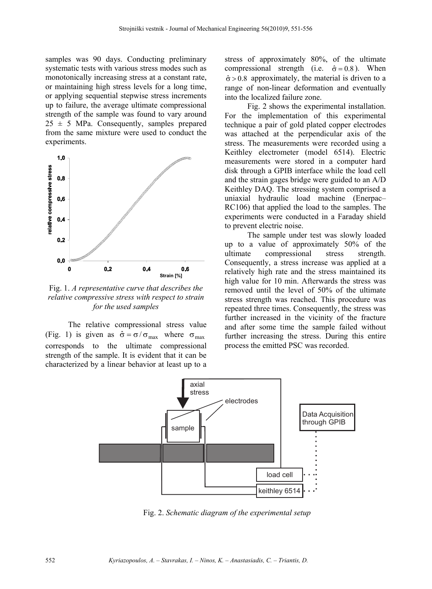samples was 90 days. Conducting preliminary systematic tests with various stress modes such as monotonically increasing stress at a constant rate, or maintaining high stress levels for a long time, or applying sequential stepwise stress increments up to failure, the average ultimate compressional strength of the sample was found to vary around  $25 \pm 5$  MPa. Consequently, samples prepared from the same mixture were used to conduct the experiments.



Fig. 1. *A representative curve that describes the relative compressive stress with respect to strain for the used samples*

The relative compressional stress value (Fig. 1) is given as  $\hat{\sigma} = \sigma / \sigma_{\text{max}}$  where  $\sigma_{\text{max}}$ corresponds to the ultimate compressional strength of the sample. It is evident that it can be characterized by a linear behavior at least up to a stress of approximately 80%, of the ultimate compressional strength (i.e.  $\hat{\sigma} = 0.8$ ). When  $\hat{\sigma} > 0.8$  approximately, the material is driven to a range of non-linear deformation and eventually into the localized failure zone.

Fig. 2 shows the experimental installation. For the implementation of this experimental technique a pair of gold plated copper electrodes was attached at the perpendicular axis of the stress. The measurements were recorded using a Keithley electrometer (model 6514). Electric measurements were stored in a computer hard disk through a GPIB interface while the load cell and the strain gages bridge were guided to an A/D Keithley DAQ. The stressing system comprised a uniaxial hydraulic load machine (Enerpac– RC106) that applied the load to the samples. The experiments were conducted in a Faraday shield to prevent electric noise.

The sample under test was slowly loaded up to a value of approximately 50% of the ultimate compressional stress strength. Consequently, a stress increase was applied at a relatively high rate and the stress maintained its high value for 10 min. Afterwards the stress was removed until the level of 50% of the ultimate stress strength was reached. This procedure was repeated three times. Consequently, the stress was further increased in the vicinity of the fracture and after some time the sample failed without further increasing the stress. During this entire process the emitted PSC was recorded.



Fig. 2. *Schematic diagram of the experimental setup*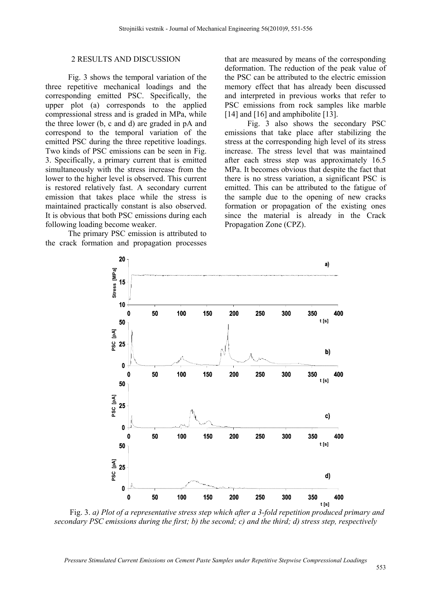#### 2 RESULTS AND DISCUSSION

Fig. 3 shows the temporal variation of the three repetitive mechanical loadings and the corresponding emitted PSC. Specifically, the upper plot (a) corresponds to the applied compressional stress and is graded in MPa, while the three lower (b, c and d) are graded in pA and correspond to the temporal variation of the emitted PSC during the three repetitive loadings. Two kinds of PSC emissions can be seen in Fig. 3. Specifically, a primary current that is emitted simultaneously with the stress increase from the lower to the higher level is observed. This current is restored relatively fast. A secondary current emission that takes place while the stress is maintained practically constant is also observed. It is obvious that both PSC emissions during each following loading become weaker.

The primary PSC emission is attributed to the crack formation and propagation processes that are measured by means of the corresponding deformation. The reduction of the peak value of the PSC can be attributed to the electric emission memory effect that has already been discussed and interpreted in previous works that refer to PSC emissions from rock samples like marble [14] and [16] and amphibolite [13].

Fig. 3 also shows the secondary PSC emissions that take place after stabilizing the stress at the corresponding high level of its stress increase. The stress level that was maintained after each stress step was approximately 16.5 MPa. It becomes obvious that despite the fact that there is no stress variation, a significant PSC is emitted. This can be attributed to the fatigue of the sample due to the opening of new cracks formation or propagation of the existing ones since the material is already in the Crack Propagation Zone (CPZ).



Fig. 3. *a) Plot of a representative stress step which after a 3-fold repetition produced primary and*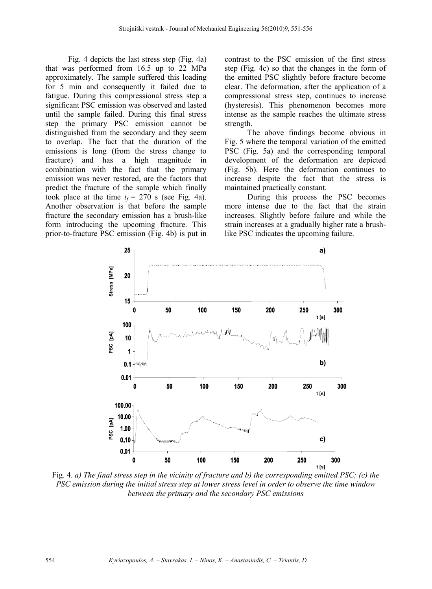Fig. 4 depicts the last stress step (Fig. 4a) that was performed from 16.5 up to 22 MPa approximately. The sample suffered this loading for 5 min and consequently it failed due to fatigue. During this compressional stress step a significant PSC emission was observed and lasted until the sample failed. During this final stress step the primary PSC emission cannot be distinguished from the secondary and they seem to overlap. The fact that the duration of the emissions is long (from the stress change to fracture) and has a high magnitude in combination with the fact that the primary emission was never restored, are the factors that predict the fracture of the sample which finally took place at the time  $t_f = 270$  s (see Fig. 4a). Another observation is that before the sample fracture the secondary emission has a brush-like form introducing the upcoming fracture. This prior-to-fracture PSC emission (Fig. 4b) is put in contrast to the PSC emission of the first stress step (Fig. 4c) so that the changes in the form of the emitted PSC slightly before fracture become clear. The deformation, after the application of a compressional stress step, continues to increase (hysteresis). This phenomenon becomes more intense as the sample reaches the ultimate stress strength.

The above findings become obvious in Fig. 5 where the temporal variation of the emitted PSC (Fig. 5a) and the corresponding temporal development of the deformation are depicted (Fig. 5b). Here the deformation continues to increase despite the fact that the stress is maintained practically constant.

During this process the PSC becomes more intense due to the fact that the strain increases. Slightly before failure and while the strain increases at a gradually higher rate a brushlike PSC indicates the upcoming failure.



Fig. 4. *a) The final stress step in the vicinity of fracture and b) the corresponding emitted PSC; (c) the PSC emission during the initial stress step at lower stress level in order to observe the time window between the primary and the secondary PSC emissions*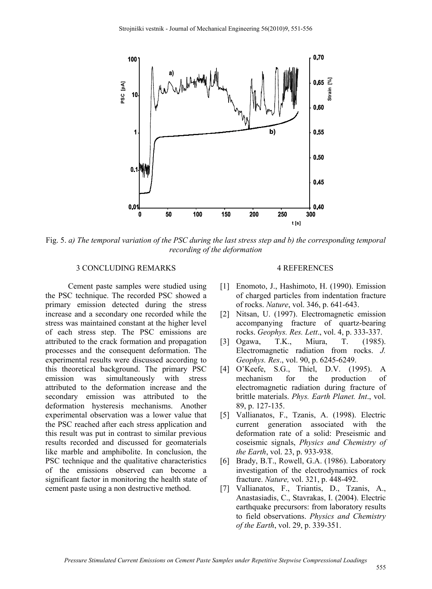

Fig. 5. *a) The temporal variation of the PSC during the last stress step and b) the corresponding temporal recording of the deformation*

#### 3 CONCLUDING REMARKS

Cement paste samples were studied using the PSC technique. The recorded PSC showed a primary emission detected during the stress increase and a secondary one recorded while the stress was maintained constant at the higher level of each stress step. The PSC emissions are attributed to the crack formation and propagation processes and the consequent deformation. The experimental results were discussed according to this theoretical background. The primary PSC emission was simultaneously with stress attributed to the deformation increase and the secondary emission was attributed to the deformation hysteresis mechanisms. Another experimental observation was a lower value that the PSC reached after each stress application and this result was put in contrast to similar previous results recorded and discussed for geomaterials like marble and amphibolite. In conclusion, the PSC technique and the qualitative characteristics of the emissions observed can become a significant factor in monitoring the health state of cement paste using a non destructive method.

#### 4 REFERENCES

- [1] Enomoto, J., Hashimoto, H. (1990). Emission of charged particles from indentation fracture of rocks. *Nature*, vol. 346, p. 641-643.
- [2] Nitsan, U. (1997). Electromagnetic emission accompanying fracture of quartz-bearing rocks. *Geophys. Res. Lett*., vol. 4, p. 333-337.
- [3] Ogawa, T.K., Miura, T. (1985). Electromagnetic radiation from rocks. *J. Geophys. Res*., vol. 90, p. 6245-6249.
- [4] O'Keefe, S.G., Thiel, D.V. (1995). A mechanism for the production of electromagnetic radiation during fracture of brittle materials. *Phys. Earth Planet. Int*., vol. 89, p. 127-135.
- [5] Vallianatos, F., Tzanis, A. (1998). Electric current generation associated with the deformation rate of a solid: Preseismic and coseismic signals, *Physics and Chemistry of the Earth*, vol. 23, p. 933-938.
- [6] Brady, B.T., Rowell, G.A. (1986). Laboratory investigation of the electrodynamics of rock fracture. *Nature,* vol. 321, p. 448-492.
- [7] Vallianatos, F., Triantis, D., Tzanis, A., Anastasiadis, C., Stavrakas, I. (2004). Electric earthquake precursors: from laboratory results to field observations. *Physics and Chemistry of the Earth*, vol. 29, p. 339-351.